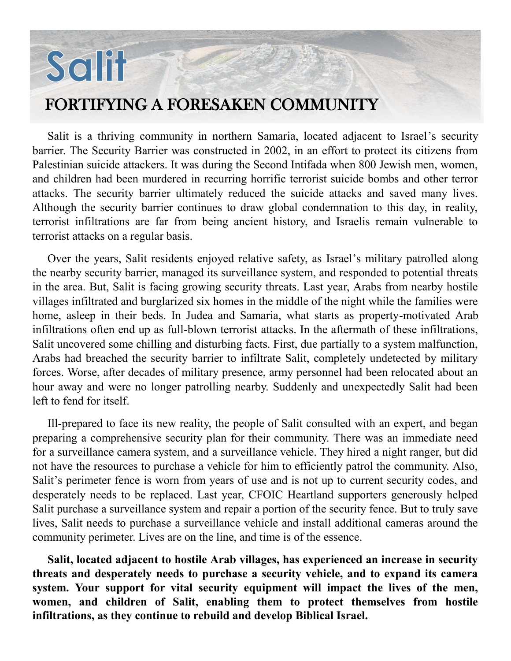# Salit

## FORTIFYING A FORESAKEN COMMUNITY

Salit is a thriving community in northern Samaria, located adjacent to Israel's security barrier. The Security Barrier was constructed in 2002, in an effort to protect its citizens from Palestinian suicide attackers. It was during the Second Intifada when 800 Jewish men, women, and children had been murdered in recurring horrific terrorist suicide bombs and other terror attacks. The security barrier ultimately reduced the suicide attacks and saved many lives. Although the security barrier continues to draw global condemnation to this day, in reality, terrorist infiltrations are far from being ancient history, and Israelis remain vulnerable to terrorist attacks on a regular basis.

Over the years, Salit residents enjoyed relative safety, as Israel's military patrolled along the nearby security barrier, managed its surveillance system, and responded to potential threats in the area. But, Salit is facing growing security threats. Last year, Arabs from nearby hostile villages infiltrated and burglarized six homes in the middle of the night while the families were home, asleep in their beds. In Judea and Samaria, what starts as property-motivated Arab infiltrations often end up as full-blown terrorist attacks. In the aftermath of these infiltrations, Salit uncovered some chilling and disturbing facts. First, due partially to a system malfunction, Arabs had breached the security barrier to infiltrate Salit, completely undetected by military forces. Worse, after decades of military presence, army personnel had been relocated about an hour away and were no longer patrolling nearby. Suddenly and unexpectedly Salit had been left to fend for itself.

Ill-prepared to face its new reality, the people of Salit consulted with an expert, and began preparing a comprehensive security plan for their community. There was an immediate need for a surveillance camera system, and a surveillance vehicle. They hired a night ranger, but did not have the resources to purchase a vehicle for him to efficiently patrol the community. Also, Salit's perimeter fence is worn from years of use and is not up to current security codes, and desperately needs to be replaced. Last year, CFOIC Heartland supporters generously helped Salit purchase a surveillance system and repair a portion of the security fence. But to truly save lives, Salit needs to purchase a surveillance vehicle and install additional cameras around the community perimeter. Lives are on the line, and time is of the essence.

**Salit, located adjacent to hostile Arab villages, has experienced an increase in security threats and desperately needs to purchase a security vehicle, and to expand its camera system. Your support for vital security equipment will impact the lives of the men, women, and children of Salit, enabling them to protect themselves from hostile infiltrations, as they continue to rebuild and develop Biblical Israel.**